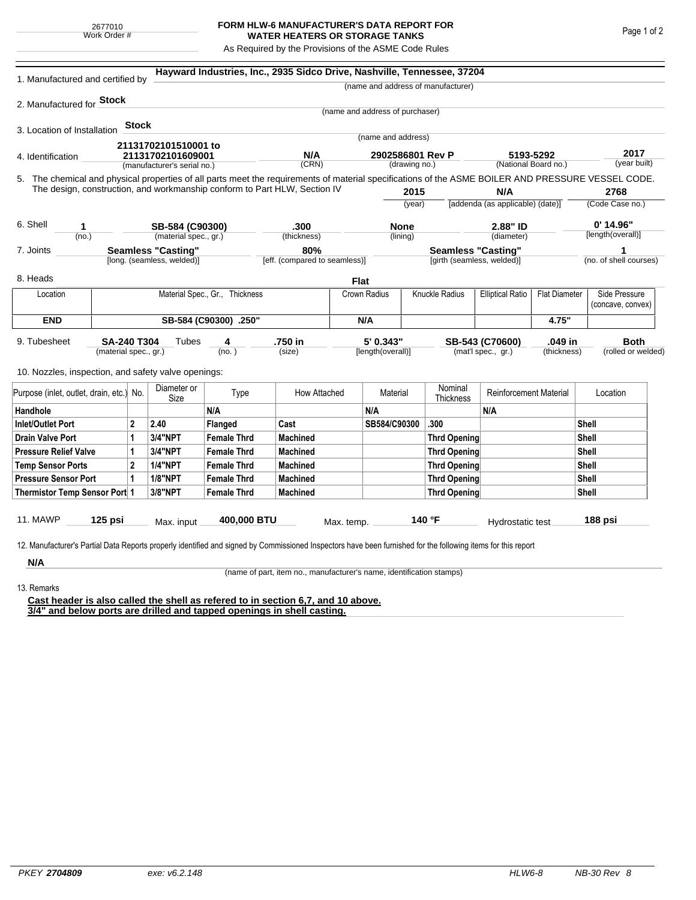2677010 Work Order #

## **FORM HLW-6 MANUFACTURER'S DATA REPORT FOR WATER HEATERS OR STORAGE TANKS**

As Required by the Provisions of the ASME Code Rules

| 1. Manufactured and certified by                                                                                                                              |                       |                     |                                                  |                    | Hayward Industries, Inc., 2935 Sidco Drive, Nashville, Tennessee, 37204 |                  |                                 |                      | (name and address of manufacturer) |                                                 |              |                        |                                    |  |
|---------------------------------------------------------------------------------------------------------------------------------------------------------------|-----------------------|---------------------|--------------------------------------------------|--------------------|-------------------------------------------------------------------------|------------------|---------------------------------|----------------------|------------------------------------|-------------------------------------------------|--------------|------------------------|------------------------------------|--|
|                                                                                                                                                               |                       |                     |                                                  |                    |                                                                         |                  |                                 |                      |                                    |                                                 |              |                        |                                    |  |
| 2. Manufactured for Stock                                                                                                                                     |                       |                     |                                                  |                    |                                                                         |                  | (name and address of purchaser) |                      |                                    |                                                 |              |                        |                                    |  |
|                                                                                                                                                               |                       | <b>Stock</b>        |                                                  |                    |                                                                         |                  |                                 |                      |                                    |                                                 |              |                        |                                    |  |
| 3. Location of Installation                                                                                                                                   |                       |                     |                                                  |                    |                                                                         |                  | (name and address)              |                      |                                    |                                                 |              |                        |                                    |  |
| 21131702101510001 to                                                                                                                                          |                       |                     |                                                  |                    | N/A                                                                     | 2902586801 Rev P |                                 |                      |                                    |                                                 |              | 2017                   |                                    |  |
| 4. Identification                                                                                                                                             |                       |                     | 21131702101609001<br>(manufacturer's serial no.) |                    | (CRN)                                                                   |                  | (drawing no.)                   |                      |                                    | 5193-5292<br>(National Board no.)               |              |                        | (year built)                       |  |
| 5. The chemical and physical properties of all parts meet the requirements of material specifications of the ASME BOILER AND PRESSURE VESSEL CODE.            |                       |                     |                                                  |                    |                                                                         |                  |                                 |                      |                                    |                                                 |              |                        |                                    |  |
| The design, construction, and workmanship conform to Part HLW, Section IV                                                                                     |                       |                     |                                                  | 2015               |                                                                         | N/A              |                                 | 2768                 |                                    |                                                 |              |                        |                                    |  |
|                                                                                                                                                               |                       |                     |                                                  |                    |                                                                         |                  |                                 | (year)               |                                    | [addenda (as applicable) (date)]                |              |                        | (Code Case no.)                    |  |
| 6. Shell<br>1                                                                                                                                                 |                       |                     | SB-584 (C90300)                                  |                    | .300                                                                    |                  | <b>None</b>                     |                      |                                    | 2.88" ID                                        |              | $0'$ 14.96"            |                                    |  |
| (no.)                                                                                                                                                         |                       |                     | (material spec., gr.)                            |                    | (thickness)                                                             |                  | (lining)                        |                      | (diameter)                         |                                                 |              | [length(overall)]      |                                    |  |
| 7. Joints                                                                                                                                                     |                       |                     | <b>Seamless "Casting"</b>                        |                    | 80%                                                                     |                  |                                 |                      | <b>Seamless "Casting"</b>          |                                                 |              | 1                      |                                    |  |
|                                                                                                                                                               |                       |                     | [long. (seamless, welded)]                       |                    | [eff. (compared to seamless)]                                           |                  |                                 |                      |                                    | [girth (seamless, welded)]                      |              | (no. of shell courses) |                                    |  |
| 8. Heads                                                                                                                                                      |                       |                     |                                                  |                    |                                                                         |                  | Flat                            |                      |                                    |                                                 |              |                        |                                    |  |
| Location                                                                                                                                                      |                       |                     | Material Spec., Gr., Thickness                   |                    |                                                                         |                  | Crown Radius                    |                      | <b>Knuckle Radius</b>              | <b>Elliptical Ratio</b><br><b>Flat Diameter</b> |              |                        | Side Pressure<br>(concave, convex) |  |
| <b>END</b>                                                                                                                                                    |                       |                     | SB-584 (C90300) .250"                            |                    |                                                                         |                  | N/A                             |                      |                                    |                                                 | 4.75"        |                        |                                    |  |
|                                                                                                                                                               |                       |                     |                                                  |                    |                                                                         |                  |                                 |                      |                                    |                                                 |              |                        |                                    |  |
| 9. Tubesheet<br><b>SA-240 T304</b>                                                                                                                            |                       |                     | Tubes                                            | 4                  | .750 in                                                                 |                  | 5' 0.343"                       |                      |                                    | .049 in<br>SB-543 (C70600)                      |              |                        | <b>Both</b>                        |  |
|                                                                                                                                                               | (material spec., gr.) |                     |                                                  | (no.)              | (size)                                                                  |                  | [length(overall)]               |                      |                                    | (mat'l spec., gr.)                              | (thickness)  |                        | (rolled or welded)                 |  |
| 10. Nozzles, inspection, and safety valve openings:                                                                                                           |                       |                     |                                                  |                    |                                                                         |                  |                                 |                      |                                    |                                                 |              |                        |                                    |  |
| Purpose (inlet, outlet, drain, etc.) No.                                                                                                                      |                       | Diameter or<br>Size | Type                                             | How Attached       |                                                                         | Material         |                                 | Nominal<br>Thickness | <b>Reinforcement Material</b>      |                                                 | Location     |                        |                                    |  |
| Handhole                                                                                                                                                      |                       |                     |                                                  | N/A                |                                                                         |                  | N/A                             |                      |                                    | N/A                                             |              |                        |                                    |  |
| 2<br><b>Inlet/Outlet Port</b>                                                                                                                                 |                       | 2.40                | <b>Flanged</b>                                   | Cast               |                                                                         | SB584/C90300     |                                 | .300                 |                                    |                                                 | Shell        |                        |                                    |  |
| Drain Valve Port<br>1                                                                                                                                         |                       | 3/4"NPT             | <b>Female Thrd</b>                               | <b>Machined</b>    |                                                                         |                  |                                 | <b>Thrd Opening</b>  |                                    |                                                 | <b>Shell</b> |                        |                                    |  |
| <b>Pressure Relief Valve</b><br>1                                                                                                                             |                       |                     | 3/4"NPT                                          | <b>Female Thrd</b> | <b>Machined</b>                                                         |                  |                                 |                      | <b>Thrd Opening</b>                |                                                 |              | Shell                  |                                    |  |
| $\overline{2}$<br><b>Temp Sensor Ports</b>                                                                                                                    |                       |                     | <b>1/4"NPT</b>                                   | <b>Female Thrd</b> | <b>Machined</b>                                                         |                  |                                 |                      | <b>Thrd Opening</b>                |                                                 |              | Shell                  |                                    |  |
| <b>Pressure Sensor Port</b><br>1                                                                                                                              |                       |                     | <b>1/8"NPT</b>                                   | <b>Female Thrd</b> | <b>Machined</b>                                                         |                  |                                 |                      | <b>Thrd Opening</b>                |                                                 |              |                        | Shell                              |  |
| Thermistor Temp Sensor Port 1                                                                                                                                 |                       |                     | 3/8"NPT                                          | <b>Female Thrd</b> | <b>Machined</b>                                                         |                  |                                 |                      | <b>Thrd Opening</b>                |                                                 |              |                        | Shell                              |  |
|                                                                                                                                                               |                       |                     |                                                  |                    |                                                                         |                  |                                 |                      |                                    |                                                 |              |                        |                                    |  |
| <b>11. MAWP</b>                                                                                                                                               | 125 psi               |                     | Max. input                                       | 400,000 BTU        |                                                                         | Max. temp.       |                                 |                      | 140 °F                             | Hydrostatic test                                |              |                        | 188 psi                            |  |
|                                                                                                                                                               |                       |                     |                                                  |                    |                                                                         |                  |                                 |                      |                                    |                                                 |              |                        |                                    |  |
| 12. Manufacturer's Partial Data Reports properly identified and signed by Commissioned Inspectors have been furnished for the following items for this report |                       |                     |                                                  |                    |                                                                         |                  |                                 |                      |                                    |                                                 |              |                        |                                    |  |
| N/A                                                                                                                                                           |                       |                     |                                                  |                    |                                                                         |                  |                                 |                      |                                    |                                                 |              |                        |                                    |  |

(name of part, item no., manufacturer's name, identification stamps)

13. Remarks

**Cast header is also called the shell as refered to in section 6,7, and 10 above. 3/4" and below ports are drilled and tapped openings in shell casting.**